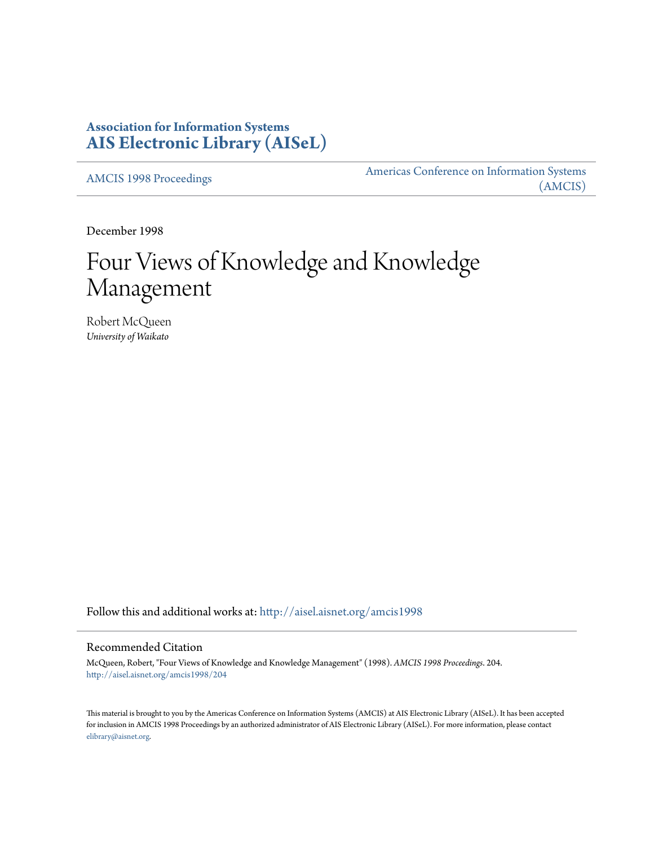# **Association for Information Systems [AIS Electronic Library \(AISeL\)](http://aisel.aisnet.org?utm_source=aisel.aisnet.org%2Famcis1998%2F204&utm_medium=PDF&utm_campaign=PDFCoverPages)**

[AMCIS 1998 Proceedings](http://aisel.aisnet.org/amcis1998?utm_source=aisel.aisnet.org%2Famcis1998%2F204&utm_medium=PDF&utm_campaign=PDFCoverPages)

[Americas Conference on Information Systems](http://aisel.aisnet.org/amcis?utm_source=aisel.aisnet.org%2Famcis1998%2F204&utm_medium=PDF&utm_campaign=PDFCoverPages) [\(AMCIS\)](http://aisel.aisnet.org/amcis?utm_source=aisel.aisnet.org%2Famcis1998%2F204&utm_medium=PDF&utm_campaign=PDFCoverPages)

December 1998

# Four Views of Knowledge and Knowledge Management

Robert McQueen *University of Waikato*

Follow this and additional works at: [http://aisel.aisnet.org/amcis1998](http://aisel.aisnet.org/amcis1998?utm_source=aisel.aisnet.org%2Famcis1998%2F204&utm_medium=PDF&utm_campaign=PDFCoverPages)

## Recommended Citation

McQueen, Robert, "Four Views of Knowledge and Knowledge Management" (1998). *AMCIS 1998 Proceedings*. 204. [http://aisel.aisnet.org/amcis1998/204](http://aisel.aisnet.org/amcis1998/204?utm_source=aisel.aisnet.org%2Famcis1998%2F204&utm_medium=PDF&utm_campaign=PDFCoverPages)

This material is brought to you by the Americas Conference on Information Systems (AMCIS) at AIS Electronic Library (AISeL). It has been accepted for inclusion in AMCIS 1998 Proceedings by an authorized administrator of AIS Electronic Library (AISeL). For more information, please contact [elibrary@aisnet.org.](mailto:elibrary@aisnet.org%3E)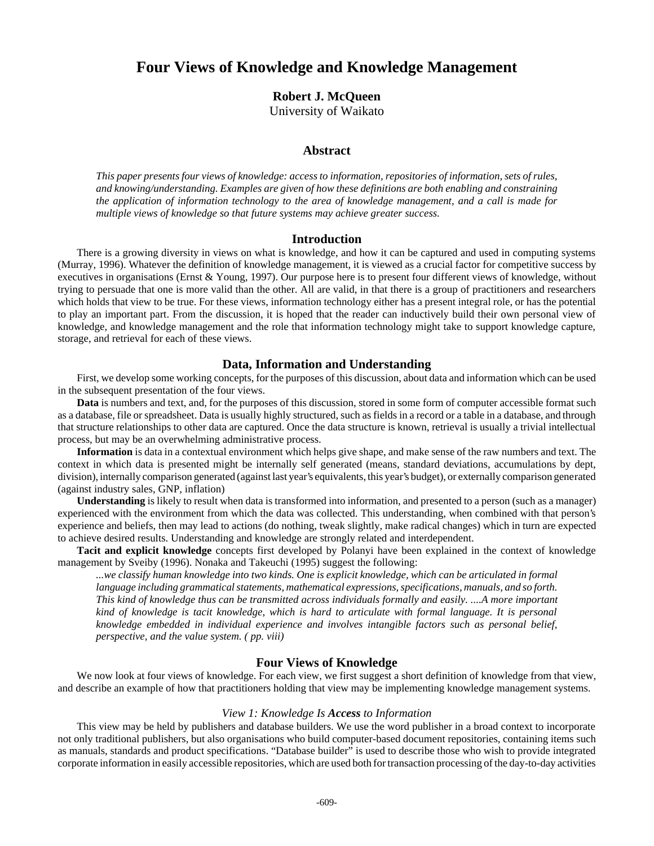# **Four Views of Knowledge and Knowledge Management**

**Robert J. McQueen**

University of Waikato

#### **Abstract**

*This paper presents four views of knowledge: access to information, repositories of information, sets of rules, and knowing/understanding. Examples are given of how these definitions are both enabling and constraining the application of information technology to the area of knowledge management, and a call is made for multiple views of knowledge so that future systems may achieve greater success.*

#### **Introduction**

There is a growing diversity in views on what is knowledge, and how it can be captured and used in computing systems (Murray, 1996). Whatever the definition of knowledge management, it is viewed as a crucial factor for competitive success by executives in organisations (Ernst & Young, 1997). Our purpose here is to present four different views of knowledge, without trying to persuade that one is more valid than the other. All are valid, in that there is a group of practitioners and researchers which holds that view to be true. For these views, information technology either has a present integral role, or has the potential to play an important part. From the discussion, it is hoped that the reader can inductively build their own personal view of knowledge, and knowledge management and the role that information technology might take to support knowledge capture, storage, and retrieval for each of these views.

### **Data, Information and Understanding**

First, we develop some working concepts, for the purposes of this discussion, about data and information which can be used in the subsequent presentation of the four views.

**Data** is numbers and text, and, for the purposes of this discussion, stored in some form of computer accessible format such as a database, file or spreadsheet. Data is usually highly structured, such as fields in a record or a table in a database, and through that structure relationships to other data are captured. Once the data structure is known, retrieval is usually a trivial intellectual process, but may be an overwhelming administrative process.

**Information** is data in a contextual environment which helps give shape, and make sense of the raw numbers and text. The context in which data is presented might be internally self generated (means, standard deviations, accumulations by dept, division), internally comparison generated (against last year's equivalents, this year's budget), or externally comparison generated (against industry sales, GNP, inflation)

**Understanding** is likely to result when data is transformed into information, and presented to a person (such as a manager) experienced with the environment from which the data was collected. This understanding, when combined with that person's experience and beliefs, then may lead to actions (do nothing, tweak slightly, make radical changes) which in turn are expected to achieve desired results. Understanding and knowledge are strongly related and interdependent.

**Tacit and explicit knowledge** concepts first developed by Polanyi have been explained in the context of knowledge management by Sveiby (1996). Nonaka and Takeuchi (1995) suggest the following:

*...we classify human knowledge into two kinds. One is explicit knowledge, which can be articulated in formal language including grammatical statements, mathematical expressions, specifications, manuals, and so forth. This kind of knowledge thus can be transmitted across individuals formally and easily. ....A more important kind of knowledge is tacit knowledge, which is hard to articulate with formal language. It is personal knowledge embedded in individual experience and involves intangible factors such as personal belief, perspective, and the value system. ( pp. viii)*

#### **Four Views of Knowledge**

We now look at four views of knowledge. For each view, we first suggest a short definition of knowledge from that view, and describe an example of how that practitioners holding that view may be implementing knowledge management systems.

#### *View 1: Knowledge Is Access to Information*

This view may be held by publishers and database builders. We use the word publisher in a broad context to incorporate not only traditional publishers, but also organisations who build computer-based document repositories, containing items such as manuals, standards and product specifications. "Database builder" is used to describe those who wish to provide integrated corporate information in easily accessible repositories, which are used both for transaction processing of the day-to-day activities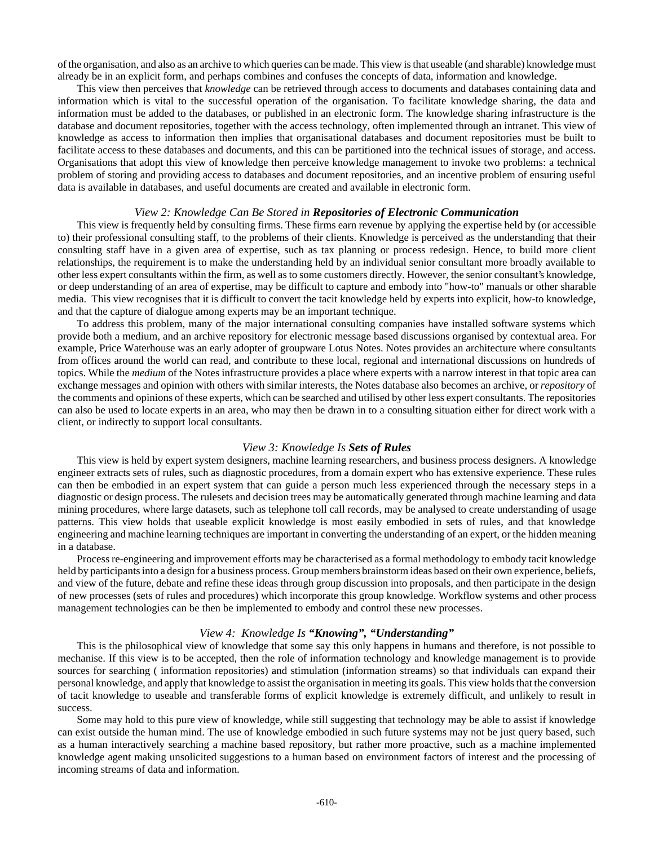of the organisation, and also as an archive to which queries can be made. This view is that useable (and sharable) knowledge must already be in an explicit form, and perhaps combines and confuses the concepts of data, information and knowledge.

This view then perceives that *knowledge* can be retrieved through access to documents and databases containing data and information which is vital to the successful operation of the organisation. To facilitate knowledge sharing, the data and information must be added to the databases, or published in an electronic form. The knowledge sharing infrastructure is the database and document repositories, together with the access technology, often implemented through an intranet. This view of knowledge as access to information then implies that organisational databases and document repositories must be built to facilitate access to these databases and documents, and this can be partitioned into the technical issues of storage, and access. Organisations that adopt this view of knowledge then perceive knowledge management to invoke two problems: a technical problem of storing and providing access to databases and document repositories, and an incentive problem of ensuring useful data is available in databases, and useful documents are created and available in electronic form.

#### *View 2: Knowledge Can Be Stored in Repositories of Electronic Communication*

This view is frequently held by consulting firms. These firms earn revenue by applying the expertise held by (or accessible to) their professional consulting staff, to the problems of their clients. Knowledge is perceived as the understanding that their consulting staff have in a given area of expertise, such as tax planning or process redesign. Hence, to build more client relationships, the requirement is to make the understanding held by an individual senior consultant more broadly available to other less expert consultants within the firm, as well as to some customers directly. However, the senior consultant's knowledge, or deep understanding of an area of expertise, may be difficult to capture and embody into "how-to" manuals or other sharable media. This view recognises that it is difficult to convert the tacit knowledge held by experts into explicit, how-to knowledge, and that the capture of dialogue among experts may be an important technique.

To address this problem, many of the major international consulting companies have installed software systems which provide both a medium, and an archive repository for electronic message based discussions organised by contextual area. For example, Price Waterhouse was an early adopter of groupware Lotus Notes. Notes provides an architecture where consultants from offices around the world can read, and contribute to these local, regional and international discussions on hundreds of topics. While the *medium* of the Notes infrastructure provides a place where experts with a narrow interest in that topic area can exchange messages and opinion with others with similar interests, the Notes database also becomes an archive, or *repository* of the comments and opinions of these experts, which can be searched and utilised by other less expert consultants. The repositories can also be used to locate experts in an area, who may then be drawn in to a consulting situation either for direct work with a client, or indirectly to support local consultants.

#### *View 3: Knowledge Is Sets of Rules*

This view is held by expert system designers, machine learning researchers, and business process designers. A knowledge engineer extracts sets of rules, such as diagnostic procedures, from a domain expert who has extensive experience. These rules can then be embodied in an expert system that can guide a person much less experienced through the necessary steps in a diagnostic or design process. The rulesets and decision trees may be automatically generated through machine learning and data mining procedures, where large datasets, such as telephone toll call records, may be analysed to create understanding of usage patterns. This view holds that useable explicit knowledge is most easily embodied in sets of rules, and that knowledge engineering and machine learning techniques are important in converting the understanding of an expert, or the hidden meaning in a database.

Process re-engineering and improvement efforts may be characterised as a formal methodology to embody tacit knowledge held by participants into a design for a business process. Group members brainstorm ideas based on their own experience, beliefs, and view of the future, debate and refine these ideas through group discussion into proposals, and then participate in the design of new processes (sets of rules and procedures) which incorporate this group knowledge. Workflow systems and other process management technologies can be then be implemented to embody and control these new processes.

#### *View 4: Knowledge Is "Knowing", "Understanding"*

This is the philosophical view of knowledge that some say this only happens in humans and therefore, is not possible to mechanise. If this view is to be accepted, then the role of information technology and knowledge management is to provide sources for searching ( information repositories) and stimulation (information streams) so that individuals can expand their personal knowledge, and apply that knowledge to assist the organisation in meeting its goals. This view holds that the conversion of tacit knowledge to useable and transferable forms of explicit knowledge is extremely difficult, and unlikely to result in success.

Some may hold to this pure view of knowledge, while still suggesting that technology may be able to assist if knowledge can exist outside the human mind. The use of knowledge embodied in such future systems may not be just query based, such as a human interactively searching a machine based repository, but rather more proactive, such as a machine implemented knowledge agent making unsolicited suggestions to a human based on environment factors of interest and the processing of incoming streams of data and information.